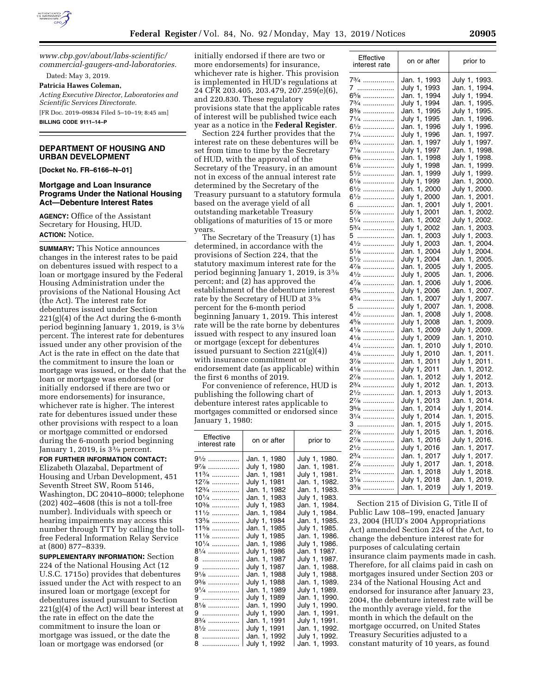

*[www.cbp.gov/about/labs-scientific/](http://www.cbp.gov/about/labs-scientific/commercial-gaugers-and-laboratories) [commercial-gaugers-and-laboratories.](http://www.cbp.gov/about/labs-scientific/commercial-gaugers-and-laboratories)* 

Dated: May 3, 2019.

### **Patricia Hawes Coleman,**

*Acting Executive Director, Laboratories and Scientific Services Directorate.* 

[FR Doc. 2019–09834 Filed 5–10–19; 8:45 am]

**BILLING CODE 9111–14–P** 

### **DEPARTMENT OF HOUSING AND URBAN DEVELOPMENT**

**[Docket No. FR–6166–N–01]** 

### **Mortgage and Loan Insurance Programs Under the National Housing Act—Debenture Interest Rates**

**AGENCY:** Office of the Assistant Secretary for Housing, HUD. **ACTION:** Notice.

**SUMMARY:** This Notice announces changes in the interest rates to be paid on debentures issued with respect to a loan or mortgage insured by the Federal Housing Administration under the provisions of the National Housing Act (the Act). The interest rate for debentures issued under Section 221(g)(4) of the Act during the 6-month period beginning January 1, 2019, is 31⁄8 percent. The interest rate for debentures issued under any other provision of the Act is the rate in effect on the date that the commitment to insure the loan or mortgage was issued, or the date that the loan or mortgage was endorsed (or initially endorsed if there are two or more endorsements) for insurance, whichever rate is higher. The interest rate for debentures issued under these other provisions with respect to a loan or mortgage committed or endorsed during the 6-month period beginning January 1, 2019, is 33⁄8 percent.

**FOR FURTHER INFORMATION CONTACT:**  Elizabeth Olazabal, Department of Housing and Urban Development, 451 Seventh Street SW, Room 5146, Washington, DC 20410–8000; telephone (202) 402–4608 (this is not a toll-free number). Individuals with speech or hearing impairments may access this number through TTY by calling the tollfree Federal Information Relay Service at (800) 877–8339.

**SUPPLEMENTARY INFORMATION:** Section 224 of the National Housing Act (12 U.S.C. 1715o) provides that debentures issued under the Act with respect to an insured loan or mortgage (except for debentures issued pursuant to Section  $221(g)(4)$  of the Act) will bear interest at the rate in effect on the date the commitment to insure the loan or mortgage was issued, or the date the loan or mortgage was endorsed (or

initially endorsed if there are two or more endorsements) for insurance, whichever rate is higher. This provision is implemented in HUD's regulations at 24 CFR 203.405, 203.479, 207.259(e)(6), and 220.830. These regulatory provisions state that the applicable rates of interest will be published twice each year as a notice in the **Federal Register**.

Section 224 further provides that the interest rate on these debentures will be set from time to time by the Secretary of HUD, with the approval of the Secretary of the Treasury, in an amount not in excess of the annual interest rate determined by the Secretary of the Treasury pursuant to a statutory formula based on the average yield of all outstanding marketable Treasury obligations of maturities of 15 or more years.

The Secretary of the Treasury (1) has determined, in accordance with the provisions of Section 224, that the statutory maximum interest rate for the period beginning January 1, 2019, is 33⁄8 percent; and (2) has approved the establishment of the debenture interest rate by the Secretary of HUD at 33⁄8 percent for the 6-month period beginning January 1, 2019. This interest rate will be the rate borne by debentures issued with respect to any insured loan or mortgage (except for debentures issued pursuant to Section 221(g)(4)) with insurance commitment or endorsement date (as applicable) within the first 6 months of 2019.

For convenience of reference, HUD is publishing the following chart of debenture interest rates applicable to mortgages committed or endorsed since January 1, 1980:

| Effective<br>interest rate | on or after  | prior to      |
|----------------------------|--------------|---------------|
| 91⁄2 ……………                 | Jan. 1, 1980 | July 1, 1980. |
| 97⁄8 ……………                 | July 1, 1980 | Jan. 1, 1981. |
| $11\frac{3}{4}$            | Jan. 1, 1981 | July 1, 1981. |
| $12\frac{7}{8}$            | July 1, 1981 | Jan. 1, 1982. |
| $12\frac{3}{4}$            | Jan. 1, 1982 | Jan. 1, 1983. |
| $10\frac{1}{4}$            | Jan. 1, 1983 | July 1, 1983. |
| 10%                        | July 1, 1983 | Jan. 1, 1984. |
| $11\frac{1}{2}$            | Jan. 1, 1984 | July 1, 1984. |
| $13\%$                     | July 1, 1984 | Jan. 1, 1985. |
| $11\frac{5}{8}$            | Jan. 1. 1985 | July 1, 1985. |
| $11\frac{1}{8}$            | July 1, 1985 | Jan. 1, 1986. |
| $10\frac{1}{4}$            | Jan. 1, 1986 | July 1, 1986. |
| 81⁄4 ……………                 | July 1, 1986 | Jan. 1 1987.  |
| 8 …………………                  | Jan. 1, 1987 | July 1, 1987. |
| 9                          | July 1, 1987 | Jan. 1, 1988. |
| 91⁄8 ……………                 | Jan. 1, 1988 | July 1, 1988. |
| 9¾ ……………                   | July 1, 1988 | Jan. 1, 1989. |
| 91/4                       | Jan. 1, 1989 | July 1, 1989. |
| 9                          | July 1, 1989 | Jan. 1, 1990. |
| 81⁄8 ……………                 | Jan. 1, 1990 | July 1, 1990. |
| 9                          | July 1, 1990 | Jan. 1, 1991. |
| 83/4                       | Jan. 1, 1991 | July 1, 1991. |
| $8\frac{1}{2}$             | July 1, 1991 | Jan. 1, 1992. |
| 8                          | Jan. 1, 1992 | July 1, 1992. |
| 8                          | July 1, 1992 | Jan. 1, 1993. |

| Effective                     | on or after     | prior to         |
|-------------------------------|-----------------|------------------|
| interest rate                 |                 |                  |
| 73⁄4 ……………                    |                 |                  |
|                               | Jan. 1, 1993    | July 1, 1993.    |
| 7                             | July 1, 1993    | Jan. 1, 1994.    |
| 6 <sup>5</sup> /8             | Jan. 1, 1994    | July 1, 1994.    |
| 73/4                          | 1994<br>July 1, | Jan. 1, 1995.    |
| 8 <sup>3</sup> /8             | Jan. 1,<br>1995 | July 1, 1995.    |
| 71/4                          | July 1,<br>1995 | Jan. 1, 1996.    |
| 61⁄2                          | Jan. 1,<br>1996 | July 1,<br>1996. |
| 71/4                          | July 1,<br>1996 | Jan. 1, 1997.    |
| 63/4                          | Jan. 1, 1997    | July 1, 1997.    |
| 71⁄8 ……………                    | July 1,<br>1997 | Jan. 1, 1998.    |
| $6\%$                         | Jan. 1, 1998    | July 1, 1998.    |
| $6\frac{1}{8}$                | July 1, 1998    | Jan. 1, 1999.    |
| 5½                            | Jan. 1,<br>1999 | 1999.<br>July 1, |
| 61/8                          | July 1,<br>1999 | Jan. 1, 2000.    |
| 61⁄2                          | Jan. 1, 2000    | July 1, 2000.    |
| 61⁄2                          | July 1, 2000    | Jan. 1, 2001.    |
| 6                             | Jan. 1, 2001    | July 1, 2001.    |
| 57⁄8 ……………                    | July 1, 2001    | Jan. 1, 2002.    |
| 51/4                          | Jan. 1, 2002    | July 1, 2002.    |
| $5\frac{3}{4}$                | July 1, 2002    | Jan. 1, 2003.    |
| 5                             | Jan. 1, 2003    | July 1, 2003.    |
| $4\frac{1}{2}$                | July 1, 2003    | Jan. 1, 2004.    |
| $5\frac{1}{8}$                | Jan. 1, 2004    | July 1, 2004.    |
| 51⁄2 ……………                    | July 1, 2004    | Jan. 1, 2005.    |
| 47/8                          | Jan. 1, 2005    | July 1, 2005.    |
| 41/2                          | July 1, 2005    | Jan. 1, 2006.    |
| 47/8                          | Jan. 1, 2006    | July 1, 2006.    |
| 5¾                            | July 1, 2006    | Jan. 1, 2007.    |
| 43⁄4 ……………                    | Jan. 1, 2007    | July 1, 2007.    |
| 5                             | July 1, 2007    | Jan. 1, 2008.    |
| 41/2                          | Jan. 1, 2008    | July 1, 2008.    |
| 45/8                          | July 1, 2008    | Jan. 1, 2009.    |
| $4\frac{1}{8}$                |                 |                  |
| 41/8                          | Jan. 1, 2009    | July 1, 2009.    |
|                               | July 1, 2009    | Jan. 1, 2010.    |
| 41/4                          | Jan. 1, 2010    | July 1, 2010.    |
| $4\frac{1}{8}$                | July 1, 2010    | Jan. 1, 2011.    |
| 37⁄8 ………………                   | Jan. 1, 2011    | July 1, 2011.    |
| $4\frac{1}{8}$                | July 1, 2011    | Jan. 1, 2012.    |
| 27/8                          | Jan. 1, 2012    | July 1, 2012.    |
| 23/4                          | July 1, 2012    | Jan. 1, 2013.    |
| 21⁄2 ……………                    | Jan. 1, 2013    | July 1, 2013.    |
| 27⁄8 ……………                    | July 1, 2013    | Jan. 1, 2014.    |
| 35⁄8 ……………                    | Jan. 1, 2014    | July 1, 2014.    |
| 31/4                          | July 1, 2014    | Jan. 1, 2015.    |
| 3                             | Jan. 1, 2015    | July 1, 2015.    |
| 27/8                          | July 1, 2015    | Jan. 1, 2016.    |
| $2\frac{7}{8}$                | Jan. 1, 2016    | July 1, 2016.    |
| 2 <sup>1</sup> / <sub>2</sub> | July 1, 2016    | Jan. 1, 2017.    |
| 2 <sup>3</sup> /4             | Jan. 1, 2017    | July 1, 2017.    |
| 27/8                          | July 1, 2017    | Jan. 1, 2018.    |
| 2 <sup>3</sup> /4             | Jan. 1, 2018    | July 1, 2018.    |
| 31⁄8 ……………                    | July 1, 2018    | Jan. 1, 2019.    |
| $3\frac{3}{8}$                | Jan. 1, 2019    | July 1, 2019.    |

Section 215 of Division G, Title II of Public Law 108–199, enacted January 23, 2004 (HUD's 2004 Appropriations Act) amended Section 224 of the Act, to change the debenture interest rate for purposes of calculating certain insurance claim payments made in cash. Therefore, for all claims paid in cash on mortgages insured under Section 203 or 234 of the National Housing Act and endorsed for insurance after January 23, 2004, the debenture interest rate will be the monthly average yield, for the month in which the default on the mortgage occurred, on United States Treasury Securities adjusted to a constant maturity of 10 years, as found